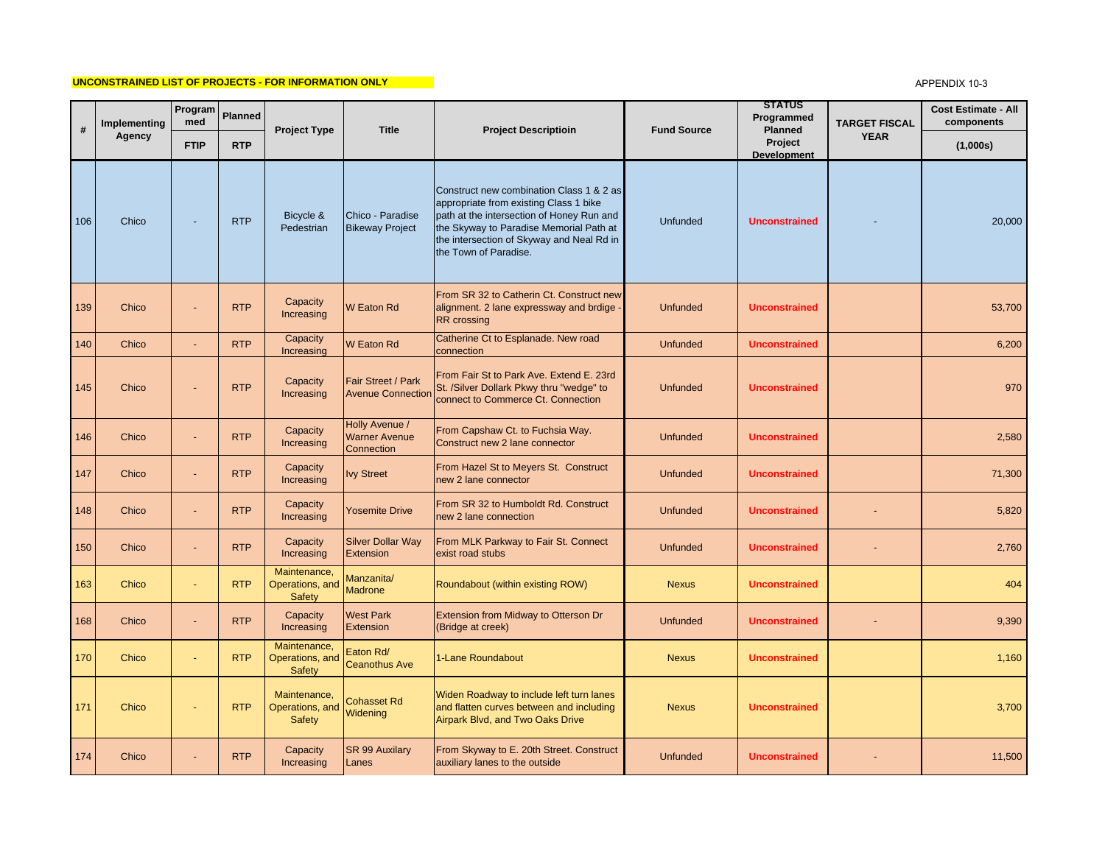## **UNCONSTRAINED LIST OF PROJECTS - FOR INFORMATION ONLY**

## APPENDIX 10-3

| #   | Implementing<br>Agency | Program<br>med | <b>Planned</b> |                                                  | <b>Title</b>                                         | <b>Project Descriptioin</b>                                                                                                                                                                                                                      | <b>Fund Source</b> | <b>STATUS</b><br>Programmed<br>Planned<br>Project<br><b>Development</b> | <b>TARGET FISCAL</b><br><b>YEAR</b> | <b>Cost Estimate - All</b><br>components |
|-----|------------------------|----------------|----------------|--------------------------------------------------|------------------------------------------------------|--------------------------------------------------------------------------------------------------------------------------------------------------------------------------------------------------------------------------------------------------|--------------------|-------------------------------------------------------------------------|-------------------------------------|------------------------------------------|
|     |                        | <b>FTIP</b>    | <b>RTP</b>     | <b>Project Type</b>                              |                                                      |                                                                                                                                                                                                                                                  |                    |                                                                         |                                     | (1,000s)                                 |
| 106 | Chico                  |                | <b>RTP</b>     | Bicycle &<br>Pedestrian                          | Chico - Paradise<br><b>Bikeway Project</b>           | Construct new combination Class 1 & 2 as<br>appropriate from existing Class 1 bike<br>path at the intersection of Honey Run and<br>the Skyway to Paradise Memorial Path at<br>the intersection of Skyway and Neal Rd in<br>the Town of Paradise. | <b>Unfunded</b>    | <b>Unconstrained</b>                                                    |                                     | 20,000                                   |
| 139 | Chico                  |                | <b>RTP</b>     | Capacity<br>Increasing                           | W Eaton Rd                                           | From SR 32 to Catherin Ct. Construct new<br>alignment. 2 lane expressway and brdige<br><b>RR</b> crossing                                                                                                                                        | <b>Unfunded</b>    | <b>Unconstrained</b>                                                    |                                     | 53,700                                   |
| 140 | Chico                  | ÷.             | <b>RTP</b>     | Capacity<br>Increasing                           | <b>W</b> Eaton Rd                                    | Catherine Ct to Esplanade. New road<br>connection                                                                                                                                                                                                | <b>Unfunded</b>    | <b>Unconstrained</b>                                                    |                                     | 6,200                                    |
| 145 | Chico                  |                | <b>RTP</b>     | Capacity<br>Increasing                           | Fair Street / Park<br><b>Avenue Connection</b>       | From Fair St to Park Ave. Extend E. 23rd<br>St. /Silver Dollark Pkwy thru "wedge" to<br>connect to Commerce Ct. Connection                                                                                                                       | Unfunded           | <b>Unconstrained</b>                                                    |                                     | 970                                      |
| 146 | Chico                  |                | <b>RTP</b>     | Capacity<br>Increasing                           | Holly Avenue /<br><b>Warner Avenue</b><br>Connection | From Capshaw Ct. to Fuchsia Way.<br>Construct new 2 lane connector                                                                                                                                                                               | <b>Unfunded</b>    | <b>Unconstrained</b>                                                    |                                     | 2,580                                    |
| 147 | Chico                  |                | <b>RTP</b>     | Capacity<br>Increasing                           | <b>Ivy Street</b>                                    | From Hazel St to Meyers St. Construct<br>new 2 lane connector                                                                                                                                                                                    | <b>Unfunded</b>    | <b>Unconstrained</b>                                                    |                                     | 71,300                                   |
| 148 | Chico                  |                | <b>RTP</b>     | Capacity<br>Increasing                           | Yosemite Drive                                       | From SR 32 to Humboldt Rd. Construct<br>new 2 lane connection                                                                                                                                                                                    | <b>Unfunded</b>    | <b>Unconstrained</b>                                                    |                                     | 5,820                                    |
| 150 | Chico                  |                | <b>RTP</b>     | Capacity<br>Increasing                           | <b>Silver Dollar Way</b><br>Extension                | From MLK Parkway to Fair St. Connect<br>exist road stubs                                                                                                                                                                                         | <b>Unfunded</b>    | <b>Unconstrained</b>                                                    |                                     | 2,760                                    |
| 163 | Chico                  |                | <b>RTP</b>     | Maintenance,<br>Operations, and<br><b>Safety</b> | Manzanita/<br><b>Madrone</b>                         | Roundabout (within existing ROW)                                                                                                                                                                                                                 | <b>Nexus</b>       | <b>Unconstrained</b>                                                    |                                     | 404                                      |
| 168 | Chico                  |                | <b>RTP</b>     | Capacity<br>Increasing                           | <b>West Park</b><br>Extension                        | <b>Extension from Midway to Otterson Dr</b><br>(Bridge at creek)                                                                                                                                                                                 | <b>Unfunded</b>    | <b>Unconstrained</b>                                                    |                                     | 9,390                                    |
| 170 | Chico                  |                | <b>RTP</b>     | Maintenance,<br>Operations, and<br><b>Safety</b> | Eaton Rd/<br><b>Ceanothus Ave</b>                    | 1-Lane Roundabout                                                                                                                                                                                                                                | <b>Nexus</b>       | <b>Unconstrained</b>                                                    |                                     | 1,160                                    |
| 171 | Chico                  |                | <b>RTP</b>     | Maintenance,<br>Operations, and<br>Safety        | <b>Cohasset Rd</b><br>Widening                       | Widen Roadway to include left turn lanes<br>and flatten curves between and including<br>Airpark Blvd, and Two Oaks Drive                                                                                                                         | <b>Nexus</b>       | <b>Unconstrained</b>                                                    |                                     | 3,700                                    |
| 174 | Chico                  |                | <b>RTP</b>     | Capacity<br>Increasing                           | <b>SR 99 Auxilary</b><br>Lanes                       | From Skyway to E. 20th Street. Construct<br>auxiliary lanes to the outside                                                                                                                                                                       | <b>Unfunded</b>    | <b>Unconstrained</b>                                                    |                                     | 11,500                                   |